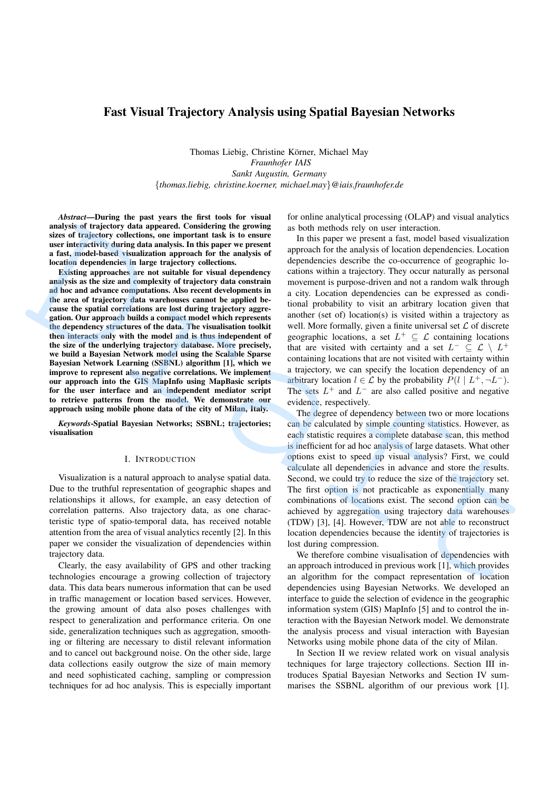# Fast Visual Trajectory Analysis using Spatial Bayesian Networks

Thomas Liebig, Christine Körner, Michael May *Fraunhofer IAIS Sankt Augustin, Germany* {*thomas.liebig, christine.koerner, michael.may*}*@iais.fraunhofer.de*

*Abstract*—During the past years the first tools for visual analysis of trajectory data appeared. Considering the growing sizes of trajectory collections, one important task is to ensure user interactivity during data analysis. In this paper we present a fast, model-based visualization approach for the analysis of location dependencies in large trajectory collections.

Existing approaches are not suitable for visual dependency analysis as the size and complexity of trajectory data constrain ad hoc and advance computations. Also recent developments in the area of trajectory data warehouses cannot be applied because the spatial correlations are lost during trajectory aggregation. Our approach builds a compact model which represents the dependency structures of the data. The visualisation toolkit then interacts only with the model and is thus independent of the size of the underlying trajectory database. More precisely, we build a Bayesian Network model using the Scalable Sparse Bayesian Network Learning (SSBNL) algorithm [1], which we improve to represent also negative correlations. We implement our approach into the GIS MapInfo using MapBasic scripts for the user interface and an independent mediator script to retrieve patterns from the model. We demonstrate our approach using mobile phone data of the city of Milan, Italy.

*Keywords*-Spatial Bayesian Networks; SSBNL; trajectories; visualisation

### I. INTRODUCTION

Visualization is a natural approach to analyse spatial data. Due to the truthful representation of geographic shapes and relationships it allows, for example, an easy detection of correlation patterns. Also trajectory data, as one characteristic type of spatio-temporal data, has received notable attention from the area of visual analytics recently [2]. In this paper we consider the visualization of dependencies within trajectory data.

Clearly, the easy availability of GPS and other tracking technologies encourage a growing collection of trajectory data. This data bears numerous information that can be used in traffic management or location based services. However, the growing amount of data also poses challenges with respect to generalization and performance criteria. On one side, generalization techniques such as aggregation, smoothing or filtering are necessary to distil relevant information and to cancel out background noise. On the other side, large data collections easily outgrow the size of main memory and need sophisticated caching, sampling or compression techniques for ad hoc analysis. This is especially important

for online analytical processing (OLAP) and visual analytics as both methods rely on user interaction.

analysis of registerey data appeared. Considering the growing as both methods rely on user interaction, and the state and the state in the state and the state and the state and the state and the state and the state and th In this paper we present a fast, model based visualization approach for the analysis of location dependencies. Location dependencies describe the co-occurrence of geographic locations within a trajectory. They occur naturally as personal movement is purpose-driven and not a random walk through a city. Location dependencies can be expressed as conditional probability to visit an arbitrary location given that another (set of) location(s) is visited within a trajectory as well. More formally, given a finite universal set  $\mathcal L$  of discrete geographic locations, a set  $L^+ \subseteq \mathcal{L}$  containing locations that are visited with certainty and a set  $L^- \subseteq \mathcal{L} \setminus L^+$ containing locations that are not visited with certainty within a trajectory, we can specify the location dependency of an arbitrary location  $l \in \mathcal{L}$  by the probability  $P(l \mid L^+, \neg L^-)$ . The sets  $L^+$  and  $L^-$  are also called positive and negative evidence, respectively.

The degree of dependency between two or more locations can be calculated by simple counting statistics. However, as each statistic requires a complete database scan, this method is inefficient for ad hoc analysis of large datasets. What other options exist to speed up visual analysis? First, we could calculate all dependencies in advance and store the results. Second, we could try to reduce the size of the trajectory set. The first option is not practicable as exponentially many combinations of locations exist. The second option can be achieved by aggregation using trajectory data warehouses (TDW) [3], [4]. However, TDW are not able to reconstruct location dependencies because the identity of trajectories is lost during compression.

We therefore combine visualisation of dependencies with an approach introduced in previous work [1], which provides an algorithm for the compact representation of location dependencies using Bayesian Networks. We developed an interface to guide the selection of evidence in the geographic information system (GIS) MapInfo [5] and to control the interaction with the Bayesian Network model. We demonstrate the analysis process and visual interaction with Bayesian Networks using mobile phone data of the city of Milan.

In Section II we review related work on visual analysis techniques for large trajectory collections. Section III introduces Spatial Bayesian Networks and Section IV summarises the SSBNL algorithm of our previous work [1].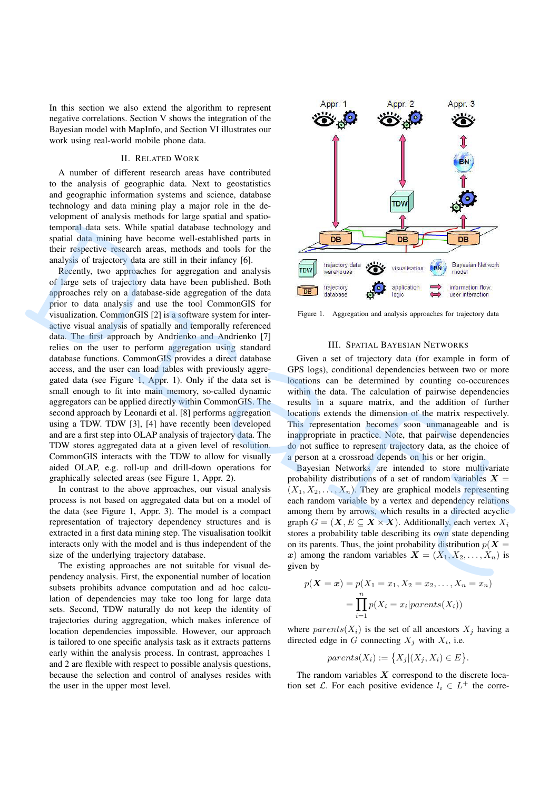In this section we also extend the algorithm to represent negative correlations. Section V shows the integration of the Bayesian model with MapInfo, and Section VI illustrates our work using real-world mobile phone data.

# II. RELATED WORK

A number of different research areas have contributed to the analysis of geographic data. Next to geostatistics and geographic information systems and science, database technology and data mining play a major role in the development of analysis methods for large spatial and spatiotemporal data sets. While spatial database technology and spatial data mining have become well-established parts in their respective research areas, methods and tools for the analysis of trajectory data are still in their infancy [6].

benefic data sets. While spatial database technology and<br>resint data mining have become well-established parts in<br>their expective control and small data mining have become well-established parts in<br>analysis of rajectory d Recently, two approaches for aggregation and analysis of large sets of trajectory data have been published. Both approaches rely on a database-side aggregation of the data prior to data analysis and use the tool CommonGIS for visualization. CommonGIS [2] is a software system for interactive visual analysis of spatially and temporally referenced data. The first approach by Andrienko and Andrienko [7] relies on the user to perform aggregation using standard database functions. CommonGIS provides a direct database access, and the user can load tables with previously aggregated data (see Figure 1, Appr. 1). Only if the data set is small enough to fit into main memory, so-called dynamic aggregators can be applied directly within CommonGIS. The second approach by Leonardi et al. [8] performs aggregation using a TDW. TDW [3], [4] have recently been developed and are a first step into OLAP analysis of trajectory data. The TDW stores aggregated data at a given level of resolution. CommonGIS interacts with the TDW to allow for visually aided OLAP, e.g. roll-up and drill-down operations for graphically selected areas (see Figure 1, Appr. 2).

In contrast to the above approaches, our visual analysis process is not based on aggregated data but on a model of the data (see Figure 1, Appr. 3). The model is a compact representation of trajectory dependency structures and is extracted in a first data mining step. The visualisation toolkit interacts only with the model and is thus independent of the size of the underlying trajectory database.

The existing approaches are not suitable for visual dependency analysis. First, the exponential number of location subsets prohibits advance computation and ad hoc calculation of dependencies may take too long for large data sets. Second, TDW naturally do not keep the identity of trajectories during aggregation, which makes inference of location dependencies impossible. However, our approach is tailored to one specific analysis task as it extracts patterns early within the analysis process. In contrast, approaches 1 and 2 are flexible with respect to possible analysis questions, because the selection and control of analyses resides with the user in the upper most level.



Figure 1. Aggregation and analysis approaches for trajectory data

### III. SPATIAL BAYESIAN NETWORKS

Given a set of trajectory data (for example in form of GPS logs), conditional dependencies between two or more locations can be determined by counting co-occurences within the data. The calculation of pairwise dependencies results in a square matrix, and the addition of further locations extends the dimension of the matrix respectively. This representation becomes soon unmanageable and is inappropriate in practice. Note, that pairwise dependencies do not suffice to represent trajectory data, as the choice of a person at a crossroad depends on his or her origin.

Bayesian Networks are intended to store multivariate probability distributions of a set of random variables  $X =$  $(X_1, X_2, \ldots, X_n)$ . They are graphical models representing each random variable by a vertex and dependency relations among them by arrows, which results in a directed acyclic graph  $G = (\mathbf{X}, E \subseteq \mathbf{X} \times \mathbf{X})$ . Additionally, each vertex  $X_i$ stores a probability table describing its own state depending on its parents. Thus, the joint probability distribution  $p(X =$ x) among the random variables  $X = (X_1, X_2, \ldots, X_n)$  is given by

$$
p(\mathbf{X} = \mathbf{x}) = p(X_1 = x_1, X_2 = x_2, ..., X_n = x_n)
$$
  
= 
$$
\prod_{i=1}^{n} p(X_i = x_i | parents(X_i))
$$

where  $parents(X_i)$  is the set of all ancestors  $X_j$  having a directed edge in  $G$  connecting  $X_j$  with  $X_i$ , i.e.

$$
parents(X_i) := \{ X_j | (X_j, X_i) \in E \}.
$$

The random variables  $X$  correspond to the discrete location set  $\mathcal{L}$ . For each positive evidence  $l_i \in L^+$  the corre-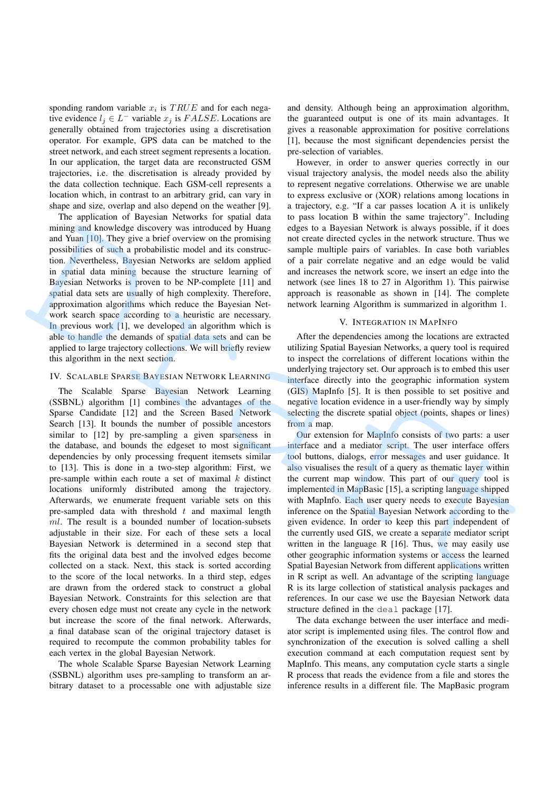sponding random variable  $x_i$  is  $TRUE$  and for each negative evidence  $l_j \in L^-$  variable  $x_j$  is  $FALSE$ . Locations are generally obtained from trajectories using a discretisation operator. For example, GPS data can be matched to the street network, and each street segment represents a location. In our application, the target data are reconstructed GSM trajectories, i.e. the discretisation is already provided by the data collection technique. Each GSM-cell represents a location which, in contrast to an arbitrary grid, can vary in shape and size, overlap and also depend on the weather [9].

The application of Bayesian Networks for spatial data mining and knowledge discovery was introduced by Huang and Yuan [10]. They give a brief overview on the promising possibilities of such a probabilistic model and its construction. Nevertheless, Bayesian Networks are seldom applied in spatial data mining because the structure learning of Bayesian Networks is proven to be NP-complete [11] and spatial data sets are usually of high complexity. Therefore, approximation algorithms which reduce the Bayesian Network search space according to a heuristic are necessary. In previous work [1], we developed an algorithm which is able to handle the demands of spatial data sets and can be applied to large trajectory collections. We will briefly review this algorithm in the next section.

# IV. SCALABLE SPARSE BAYESIAN NETWORK LEARNING

mining mathemoloidge disorery was introduced by linning edges to a Baysin Nework is always possible. if it does<br>not discussed in the optical control interval in the specific state of the specific state of the specific sta The Scalable Sparse Bayesian Network Learning (SSBNL) algorithm [1] combines the advantages of the Sparse Candidate [12] and the Screen Based Network Search [13]. It bounds the number of possible ancestors similar to [12] by pre-sampling a given sparseness in the database, and bounds the edgeset to most significant dependencies by only processing frequent itemsets similar to [13]. This is done in a two-step algorithm: First, we pre-sample within each route a set of maximal  $k$  distinct locations uniformly distributed among the trajectory. Afterwards, we enumerate frequent variable sets on this pre-sampled data with threshold  $t$  and maximal length ml. The result is a bounded number of location-subsets adjustable in their size. For each of these sets a local Bayesian Network is determined in a second step that fits the original data best and the involved edges become collected on a stack. Next, this stack is sorted according to the score of the local networks. In a third step, edges are drawn from the ordered stack to construct a global Bayesian Network. Constraints for this selection are that every chosen edge must not create any cycle in the network but increase the score of the final network. Afterwards, a final database scan of the original trajectory dataset is required to recompute the common probability tables for each vertex in the global Bayesian Network.

The whole Scalable Sparse Bayesian Network Learning (SSBNL) algorithm uses pre-sampling to transform an arbitrary dataset to a processable one with adjustable size

and density. Although being an approximation algorithm, the guaranteed output is one of its main advantages. It gives a reasonable approximation for positive correlations [1], because the most significant dependencies persist the pre-selection of variables.

However, in order to answer queries correctly in our visual trajectory analysis, the model needs also the ability to represent negative correlations. Otherwise we are unable to express exclusive or (XOR) relations among locations in a trajectory, e.g. "If a car passes location A it is unlikely to pass location B within the same trajectory". Including edges to a Bayesian Network is always possible, if it does not create directed cycles in the network structure. Thus we sample multiple pairs of variables. In case both variables of a pair correlate negative and an edge would be valid and increases the network score, we insert an edge into the network (see lines 18 to 27 in Algorithm 1). This pairwise approach is reasonable as shown in [14]. The complete network learning Algorithm is summarized in algorithm 1.

#### V. INTEGRATION IN MAPINFO

After the dependencies among the locations are extracted utilizing Spatial Bayesian Networks, a query tool is required to inspect the correlations of different locations within the underlying trajectory set. Our approach is to embed this user interface directly into the geographic information system (GIS) MapInfo [5]. It is then possible to set positive and negative location evidence in a user-friendly way by simply selecting the discrete spatial object (points, shapes or lines) from a map.

Our extension for MapInfo consists of two parts: a user interface and a mediator script. The user interface offers tool buttons, dialogs, error messages and user guidance. It also visualises the result of a query as thematic layer within the current map window. This part of our query tool is implemented in MapBasic [15], a scripting language shipped with MapInfo. Each user query needs to execute Bayesian inference on the Spatial Bayesian Network according to the given evidence. In order to keep this part independent of the currently used GIS, we create a separate mediator script written in the language R [16]. Thus, we may easily use other geographic information systems or access the learned Spatial Bayesian Network from different applications written in R script as well. An advantage of the scripting language R is its large collection of statistical analysis packages and references. In our case we use the Bayesian Network data structure defined in the deal package [17].

The data exchange between the user interface and mediator script is implemented using files. The control flow and synchronization of the execution is solved calling a shell execution command at each computation request sent by MapInfo. This means, any computation cycle starts a single R process that reads the evidence from a file and stores the inference results in a different file. The MapBasic program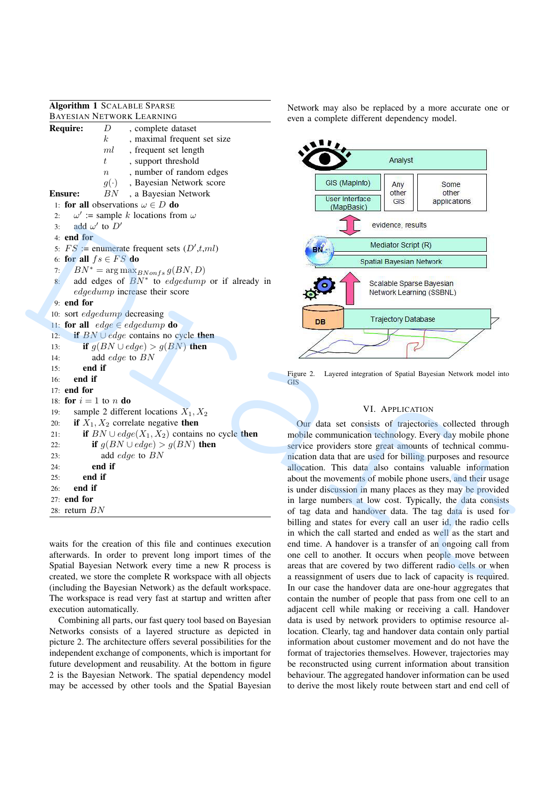| <b>Algorithm 1 SCALABLE SPARSE</b><br><b>BAYESIAN NETWORK LEARNING</b>                                             | Network may also be replaced by a more accurate one or<br>even a complete different dependency model.                  |
|--------------------------------------------------------------------------------------------------------------------|------------------------------------------------------------------------------------------------------------------------|
| <b>Require:</b><br>$\boldsymbol{D}$<br>, complete dataset                                                          |                                                                                                                        |
| $\boldsymbol{k}$<br>, maximal frequent set size                                                                    |                                                                                                                        |
| , frequent set length<br>ml                                                                                        |                                                                                                                        |
| $\,t\,$<br>, support threshold                                                                                     | Analyst                                                                                                                |
| , number of random edges<br>$\boldsymbol{n}$                                                                       |                                                                                                                        |
| $g(\cdot)$<br>, Bayesian Network score                                                                             | GIS (MapInfo)<br>Any<br>Some                                                                                           |
| BN<br><b>Ensure:</b><br>, a Bayesian Network                                                                       | other<br>other<br>User Interface                                                                                       |
| 1: for all observations $\omega \in D$ do                                                                          | GIS<br>applications<br>(MapBasic)                                                                                      |
| $\omega'$ := sample k locations from $\omega$<br>2:                                                                |                                                                                                                        |
| add $\omega'$ to $D'$<br>3:                                                                                        | evidence, results                                                                                                      |
| 4: end for                                                                                                         | Mediator Script (R)                                                                                                    |
| 5: $FS :=$ enumerate frequent sets $(D', t, ml)$                                                                   | BN -                                                                                                                   |
| 6: for all $fs \in FS$ do                                                                                          | Spatial Bayesian Network                                                                                               |
| $BN^* = \arg \max_{BNonfs} g(BN, D)$<br>add edges of $BN^*$ to <i>edgedump</i> or if already in<br>7:              |                                                                                                                        |
| 8:<br>edgedump increase their score                                                                                | Scalable Sparse Bayesian<br>Network Learning (SSBNL)                                                                   |
| 9: end for                                                                                                         |                                                                                                                        |
| 10: sort edgedump decreasing                                                                                       |                                                                                                                        |
| 11: for all $\text{edge} \in \text{edge} \text{dump}$ do                                                           | <b>Trajectory Database</b><br><b>DB</b>                                                                                |
| if $BN \cup edge$ contains no cycle then<br>12:                                                                    |                                                                                                                        |
| if $g(BN \cup edge) > g(BN)$ then<br>13:                                                                           |                                                                                                                        |
| add <i>edge</i> to $BN$<br>14:                                                                                     |                                                                                                                        |
| end if<br>15:                                                                                                      |                                                                                                                        |
| end if<br>16:                                                                                                      | Figure 2.<br>Layered integration of Spatial Bayesian Network model into<br><b>GIS</b>                                  |
| 17: end for                                                                                                        |                                                                                                                        |
| 18: for $i=1$ to n do                                                                                              |                                                                                                                        |
| sample 2 different locations $\overline{X}_1, X_2$<br>19:                                                          | VI. APPLICATION                                                                                                        |
| if $X_1, X_2$ correlate negative then<br>20:                                                                       | Our data set consists of trajectories collected through                                                                |
| if $BN \cup edge(X_1, X_2)$ contains no cycle then<br>21:                                                          | mobile communication technology. Every day mobile phone                                                                |
| if $g(BN \cup edge) > g(BN)$ then<br>22:                                                                           | service providers store great amounts of technical commu-                                                              |
| add $edge$ to $BN$<br>23:                                                                                          | nication data that are used for billing purposes and resource                                                          |
| end if<br>24:                                                                                                      | allocation. This data also contains valuable information                                                               |
| end if<br>25:                                                                                                      | about the movements of mobile phone users, and their usage                                                             |
| end if<br>26:<br>$27:$ end for                                                                                     | is under discussion in many places as they may be provided                                                             |
|                                                                                                                    | in large numbers at low cost. Typically, the data consists                                                             |
| 28: return $BN$                                                                                                    | of tag data and handover data. The tag data is used for                                                                |
|                                                                                                                    | billing and states for every call an user id, the radio cells                                                          |
|                                                                                                                    | in which the call started and ended as well as the start and                                                           |
| waits for the creation of this file and continues execution                                                        | end time. A handover is a transfer of an ongoing call from                                                             |
| afterwards. In order to prevent long import times of the<br>Spatial Bayesian Network every time a new R process is | one cell to another. It occurs when people move between<br>areas that are covered by two different radio cells or when |
| created, we store the complete R workspace with all objects                                                        | a reassignment of users due to lack of capacity is required.                                                           |
|                                                                                                                    |                                                                                                                        |

waits for the creation of this file and continues execution afterwards. In order to prevent long import times of the Spatial Bayesian Network every time a new R process is created, we store the complete R workspace with all objects (including the Bayesian Network) as the default workspace. The workspace is read very fast at startup and written after execution automatically.

Combining all parts, our fast query tool based on Bayesian Networks consists of a layered structure as depicted in picture 2. The architecture offers several possibilities for the independent exchange of components, which is important for future development and reusability. At the bottom in figure 2 is the Bayesian Network. The spatial dependency model may be accessed by other tools and the Spatial Bayesian



Figure 2. Layered integration of Spatial Bayesian Network model into GIS

# VI. APPLICATION

Our data set consists of trajectories collected through mobile communication technology. Every day mobile phone service providers store great amounts of technical communication data that are used for billing purposes and resource allocation. This data also contains valuable information about the movements of mobile phone users, and their usage is under discussion in many places as they may be provided in large numbers at low cost. Typically, the data consists of tag data and handover data. The tag data is used for billing and states for every call an user id, the radio cells in which the call started and ended as well as the start and end time. A handover is a transfer of an ongoing call from one cell to another. It occurs when people move between areas that are covered by two different radio cells or when a reassignment of users due to lack of capacity is required. In our case the handover data are one-hour aggregates that contain the number of people that pass from one cell to an adjacent cell while making or receiving a call. Handover data is used by network providers to optimise resource allocation. Clearly, tag and handover data contain only partial information about customer movement and do not have the format of trajectories themselves. However, trajectories may be reconstructed using current information about transition behaviour. The aggregated handover information can be used to derive the most likely route between start and end cell of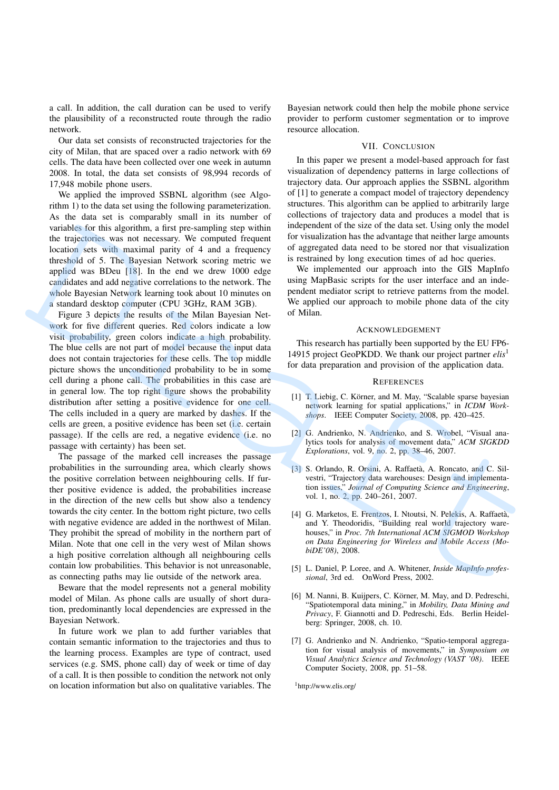a call. In addition, the call duration can be used to verify the plausibility of a reconstructed route through the radio network.

Our data set consists of reconstructed trajectories for the city of Milan, that are spaced over a radio network with 69 cells. The data have been collected over one week in autumn 2008. In total, the data set consists of 98,994 records of 17,948 mobile phone users.

We applied the improved SSBNL algorithm (see Algorithm 1) to the data set using the following parameterization. As the data set is comparably small in its number of variables for this algorithm, a first pre-sampling step within the trajectories was not necessary. We computed frequent location sets with maximal parity of 4 and a frequency threshold of 5. The Bayesian Network scoring metric we applied was BDeu [18]. In the end we drew 1000 edge candidates and add negative correlations to the network. The whole Bayesian Network learning took about 10 minutes on a standard desktop computer (CPU 3GHz, RAM 3GB).

writing lies ulgorithm, a first pre-sumpling sep within and protocol of the size of the calar set. Using only the model of the size of the size of the calar set of the calibratic between the size of the calibratic between Figure 3 depicts the results of the Milan Bayesian Network for five different queries. Red colors indicate a low visit probability, green colors indicate a high probability. The blue cells are not part of model because the input data does not contain trajectories for these cells. The top middle picture shows the unconditioned probability to be in some cell during a phone call. The probabilities in this case are in general low. The top right figure shows the probability distribution after setting a positive evidence for one cell. The cells included in a query are marked by dashes. If the cells are green, a positive evidence has been set (i.e. certain passage). If the cells are red, a negative evidence (i.e. no passage with certainty) has been set.

The passage of the marked cell increases the passage probabilities in the surrounding area, which clearly shows the positive correlation between neighbouring cells. If further positive evidence is added, the probabilities increase in the direction of the new cells but show also a tendency towards the city center. In the bottom right picture, two cells with negative evidence are added in the northwest of Milan. They prohibit the spread of mobility in the northern part of Milan. Note that one cell in the very west of Milan shows a high positive correlation although all neighbouring cells contain low probabilities. This behavior is not unreasonable, as connecting paths may lie outside of the network area.

Beware that the model represents not a general mobility model of Milan. As phone calls are usually of short duration, predominantly local dependencies are expressed in the Bayesian Network.

In future work we plan to add further variables that contain semantic information to the trajectories and thus to the learning process. Examples are type of contract, used services (e.g. SMS, phone call) day of week or time of day of a call. It is then possible to condition the network not only on location information but also on qualitative variables. The Bayesian network could then help the mobile phone service provider to perform customer segmentation or to improve resource allocation.

### VII. CONCLUSION

In this paper we present a model-based approach for fast visualization of dependency patterns in large collections of trajectory data. Our approach applies the SSBNL algorithm of [1] to generate a compact model of trajectory dependency structures. This algorithm can be applied to arbitrarily large collections of trajectory data and produces a model that is independent of the size of the data set. Using only the model for visualization has the advantage that neither large amounts of aggregated data need to be stored nor that visualization is restrained by long execution times of ad hoc queries.

We implemented our approach into the GIS MapInfo using MapBasic scripts for the user interface and an independent mediator script to retrieve patterns from the model. We applied our approach to mobile phone data of the city of Milan.

#### ACKNOWLEDGEMENT

This research has partially been supported by the EU FP6- 14915 project GeoPKDD. We thank our project partner *elis*<sup>1</sup> for data preparation and provision of the application data.

#### **REFERENCES**

- [1] T. Liebig, C. Körner, and M. May, "Scalable sparse bayesian network learning for spatial applications," in *ICDM Workshops*. IEEE Computer Society, 2008, pp. 420–425.
- [2] G. Andrienko, N. Andrienko, and S. Wrobel, "Visual analytics tools for analysis of movement data," *ACM SIGKDD Explorations*, vol. 9, no. 2, pp. 38–46, 2007.
- [3] S. Orlando, R. Orsini, A. Raffaetà, A. Roncato, and C. Silvestri, "Trajectory data warehouses: Design and implementation issues," *Journal of Computing Science and Engineering*, vol. 1, no. 2, pp. 240–261, 2007.
- [4] G. Marketos, E. Frentzos, I. Ntoutsi, N. Pelekis, A. Raffaeta,` and Y. Theodoridis, "Building real world trajectory warehouses," in *Proc. 7th International ACM SIGMOD Workshop on Data Engineering for Wireless and Mobile Access (MobiDE'08)*, 2008.
- [5] L. Daniel, P. Loree, and A. Whitener, *Inside MapInfo professional*, 3rd ed. OnWord Press, 2002.
- [6] M. Nanni, B. Kuijpers, C. Körner, M. May, and D. Pedreschi, "Spatiotemporal data mining," in *Mobility, Data Mining and Privacy*, F. Giannotti and D. Pedreschi, Eds. Berlin Heidelberg: Springer, 2008, ch. 10.
- [7] G. Andrienko and N. Andrienko, "Spatio-temporal aggregation for visual analysis of movements," in *Symposium on Visual Analytics Science and Technology (VAST '08)*. IEEE Computer Society, 2008, pp. 51–58.

<sup>1</sup>http://www.elis.org/